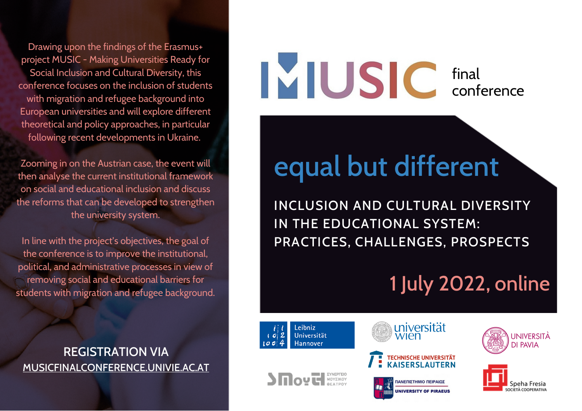Drawing upon the findings of the Erasmus+ project MUSIC - Making Universities Ready for Social Inclusion and Cultural Diversity, this conference focuses on the inclusion of students with migration and refugee background into European universities and will explore different theoretical and policy approaches, in particular following recent developments in Ukraine.

Zooming in on the Austrian case, the event will then analyse the current institutional framework on social and educational inclusion and discuss the reforms that can be developed to strengthen the university system.

In line with the project's objectives, the goal of the conference is to improve the institutional, political, and administrative processes in view of removing social and educational barriers for students with migration and refugee background.

REGISTRATION VIA [MUSICFINALCONFERENCE.UNIVIE.AC.AT](http://musicfinalconference.univie.ac.at/)

### final conference

## equal but different

INCLUSION AND CULTURAL DIVERSITY IN THE EDUCATIONAL SYSTEM: PRACTICES, CHALLENGES, PROSPECTS

### 1 July 2022, online



**SERVICE AND A MOYZIKOY**